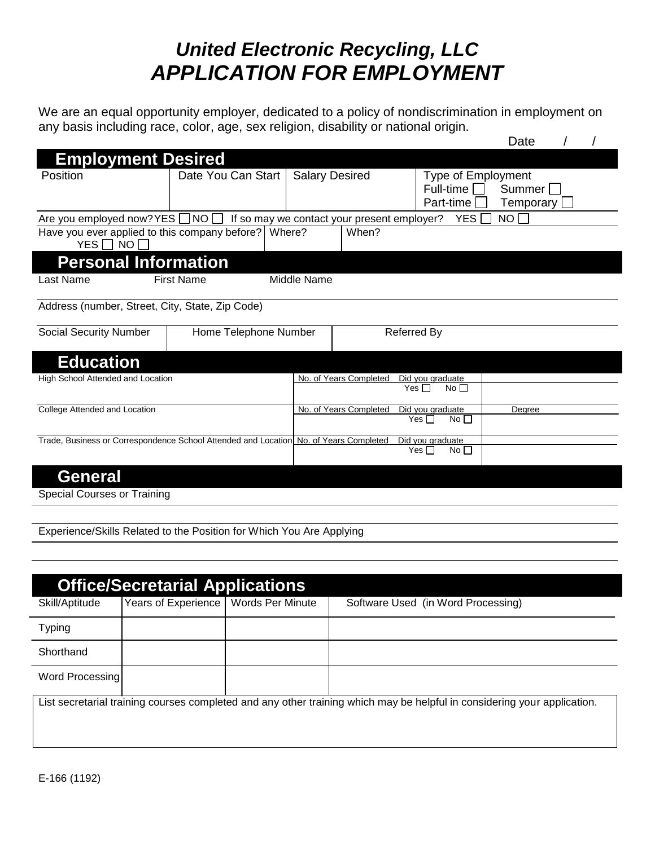## *United Electronic Recycling, LLC APPLICATION FOR EMPLOYMENT*

We are an equal opportunity employer, dedicated to a policy of nondiscrimination in employment on any basis including race, color, age, sex religion, disability or national origin.

|                                                                                                           |                       |                       |                        |                                                   | Date                |  |  |
|-----------------------------------------------------------------------------------------------------------|-----------------------|-----------------------|------------------------|---------------------------------------------------|---------------------|--|--|
| <b>Employment Desired</b>                                                                                 |                       |                       |                        |                                                   |                     |  |  |
| Position                                                                                                  | Date You Can Start    | <b>Salary Desired</b> |                        | Type of Employment<br>Full-time [<br>Part-time    | Summer<br>Temporary |  |  |
| Are you employed now? YES $\Box$ NO $\Box$<br>If so may we contact your present employer?<br>NO I<br>YES. |                       |                       |                        |                                                   |                     |  |  |
| Have you ever applied to this company before?<br>When?<br>Where?<br>YES $\Box$<br>NO I                    |                       |                       |                        |                                                   |                     |  |  |
| <b>Personal Information</b>                                                                               |                       |                       |                        |                                                   |                     |  |  |
| Last Name                                                                                                 | <b>First Name</b>     | Middle Name           |                        |                                                   |                     |  |  |
| Address (number, Street, City, State, Zip Code)                                                           |                       |                       |                        |                                                   |                     |  |  |
| <b>Social Security Number</b>                                                                             | Home Telephone Number |                       |                        | <b>Referred By</b>                                |                     |  |  |
| <b>Education</b>                                                                                          |                       |                       |                        |                                                   |                     |  |  |
| High School Attended and Location                                                                         |                       |                       | No. of Years Completed | Did you graduate<br>Yes $\Box$<br>No $\Box$       |                     |  |  |
| College Attended and Location                                                                             |                       |                       | No. of Years Completed | Did you graduate<br>No <sub>1</sub><br>Yes $\Box$ | Dearee              |  |  |
| Trade, Business or Correspondence School Attended and Location No. of Years Completed                     |                       |                       |                        | Did you graduate<br>Yes $\Box$<br>No <sub>1</sub> |                     |  |  |
| <b>General</b>                                                                                            |                       |                       |                        |                                                   |                     |  |  |
| <b>Special Courses or Training</b>                                                                        |                       |                       |                        |                                                   |                     |  |  |
|                                                                                                           |                       |                       |                        |                                                   |                     |  |  |

Experience/Skills Related to the Position for Which You Are Applying

| <b>Office/Secretarial Applications</b> |                                        |  |                                                                                                                          |  |  |  |
|----------------------------------------|----------------------------------------|--|--------------------------------------------------------------------------------------------------------------------------|--|--|--|
| Skill/Aptitude                         | Years of Experience   Words Per Minute |  | Software Used (in Word Processing)                                                                                       |  |  |  |
| <b>Typing</b>                          |                                        |  |                                                                                                                          |  |  |  |
| Shorthand                              |                                        |  |                                                                                                                          |  |  |  |
| Word Processing                        |                                        |  |                                                                                                                          |  |  |  |
|                                        |                                        |  | List secretarial training courses completed and any other training which may be helpful in considering your application. |  |  |  |